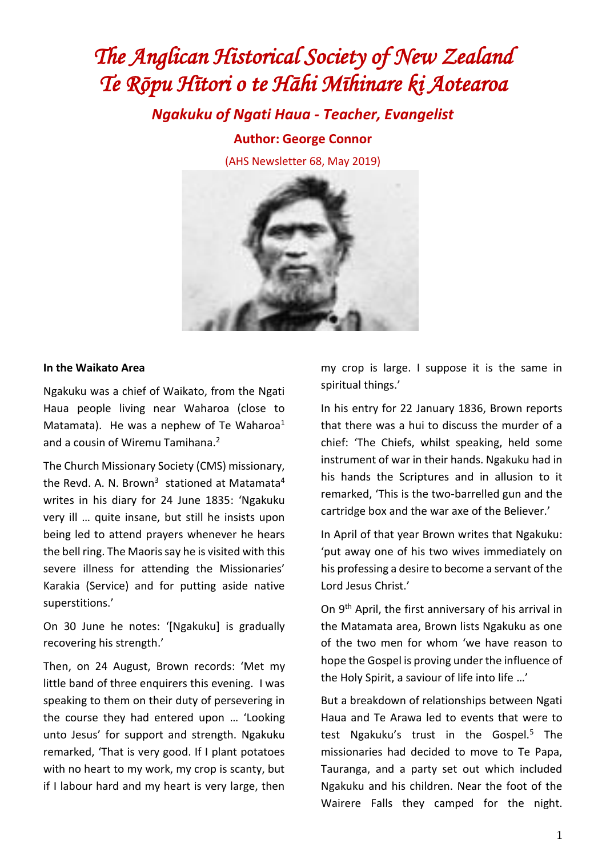# *The Anglican Historical Society of New Zealand Te Rōpu Hītori o te Hāhi Mīhinare ki Aotearoa*

*Ngakuku of Ngati Haua - Teacher, Evangelist*

**Author: George Connor**

(AHS Newsletter 68, May 2019)



#### **In the Waikato Area**

Ngakuku was a chief of Waikato, from the Ngati Haua people living near Waharoa (close to Matamata). He was a nephew of Te Waharoa<sup>1</sup> and a cousin of Wiremu Tamihana.<sup>2</sup>

The Church Missionary Society (CMS) missionary, the Revd. A. N. Brown<sup>3</sup> stationed at Matamata<sup>4</sup> writes in his diary for 24 June 1835: 'Ngakuku very ill … quite insane, but still he insists upon being led to attend prayers whenever he hears the bell ring. The Maoris say he is visited with this severe illness for attending the Missionaries' Karakia (Service) and for putting aside native superstitions.'

On 30 June he notes: '[Ngakuku] is gradually recovering his strength.'

Then, on 24 August, Brown records: 'Met my little band of three enquirers this evening. I was speaking to them on their duty of persevering in the course they had entered upon … 'Looking unto Jesus' for support and strength. Ngakuku remarked, 'That is very good. If I plant potatoes with no heart to my work, my crop is scanty, but if I labour hard and my heart is very large, then my crop is large. I suppose it is the same in spiritual things.'

In his entry for 22 January 1836, Brown reports that there was a hui to discuss the murder of a chief: 'The Chiefs, whilst speaking, held some instrument of war in their hands. Ngakuku had in his hands the Scriptures and in allusion to it remarked, 'This is the two-barrelled gun and the cartridge box and the war axe of the Believer.'

In April of that year Brown writes that Ngakuku: 'put away one of his two wives immediately on his professing a desire to become a servant of the Lord Jesus Christ.'

On 9<sup>th</sup> April, the first anniversary of his arrival in the Matamata area, Brown lists Ngakuku as one of the two men for whom 'we have reason to hope the Gospel is proving under the influence of the Holy Spirit, a saviour of life into life …'

But a breakdown of relationships between Ngati Haua and Te Arawa led to events that were to test Ngakuku's trust in the Gospel.<sup>5</sup> The missionaries had decided to move to Te Papa, Tauranga, and a party set out which included Ngakuku and his children. Near the foot of the Wairere Falls they camped for the night.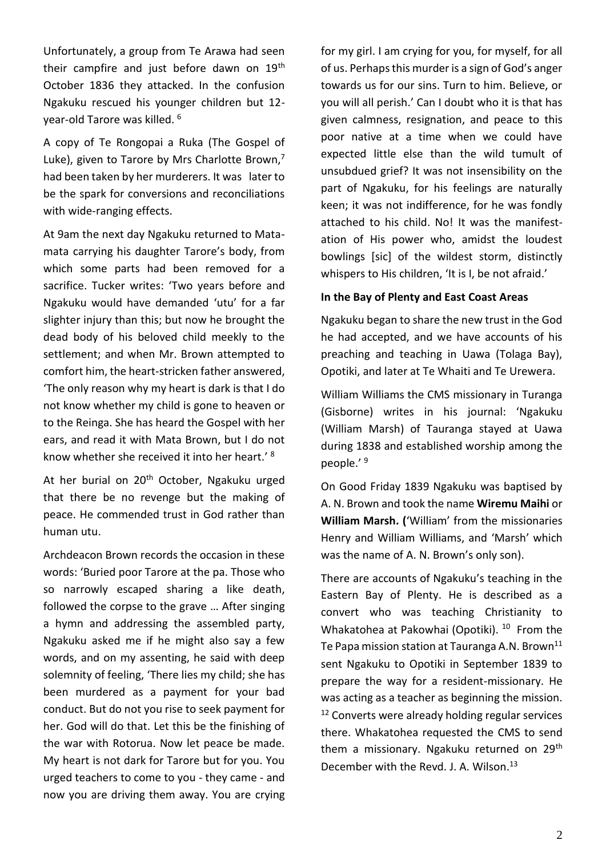Unfortunately, a group from Te Arawa had seen their campfire and just before dawn on 19<sup>th</sup> October 1836 they attacked. In the confusion Ngakuku rescued his younger children but 12 year-old Tarore was killed. <sup>6</sup>

A copy of Te Rongopai a Ruka (The Gospel of Luke), given to Tarore by Mrs Charlotte Brown, $^7$ had been taken by her murderers. It was later to be the spark for conversions and reconciliations with wide-ranging effects.

At 9am the next day Ngakuku returned to Matamata carrying his daughter Tarore's body, from which some parts had been removed for a sacrifice. Tucker writes: 'Two years before and Ngakuku would have demanded 'utu' for a far slighter injury than this; but now he brought the dead body of his beloved child meekly to the settlement; and when Mr. Brown attempted to comfort him, the heart-stricken father answered, 'The only reason why my heart is dark is that I do not know whether my child is gone to heaven or to the Reinga. She has heard the Gospel with her ears, and read it with Mata Brown, but I do not know whether she received it into her heart.' 8

At her burial on 20<sup>th</sup> October, Ngakuku urged that there be no revenge but the making of peace. He commended trust in God rather than human utu.

Archdeacon Brown records the occasion in these words: 'Buried poor Tarore at the pa. Those who so narrowly escaped sharing a like death, followed the corpse to the grave … After singing a hymn and addressing the assembled party, Ngakuku asked me if he might also say a few words, and on my assenting, he said with deep solemnity of feeling, 'There lies my child; she has been murdered as a payment for your bad conduct. But do not you rise to seek payment for her. God will do that. Let this be the finishing of the war with Rotorua. Now let peace be made. My heart is not dark for Tarore but for you. You urged teachers to come to you - they came - and now you are driving them away. You are crying for my girl. I am crying for you, for myself, for all of us. Perhaps this murder is a sign of God's anger towards us for our sins. Turn to him. Believe, or you will all perish.' Can I doubt who it is that has given calmness, resignation, and peace to this poor native at a time when we could have expected little else than the wild tumult of unsubdued grief? It was not insensibility on the part of Ngakuku, for his feelings are naturally keen; it was not indifference, for he was fondly attached to his child. No! It was the manifestation of His power who, amidst the loudest bowlings [sic] of the wildest storm, distinctly whispers to His children, 'It is I, be not afraid.'

#### **In the Bay of Plenty and East Coast Areas**

Ngakuku began to share the new trust in the God he had accepted, and we have accounts of his preaching and teaching in Uawa (Tolaga Bay), Opotiki, and later at Te Whaiti and Te Urewera.

William Williams the CMS missionary in Turanga (Gisborne) writes in his journal: 'Ngakuku (William Marsh) of Tauranga stayed at Uawa during 1838 and established worship among the people.' 9

On Good Friday 1839 Ngakuku was baptised by A. N. Brown and took the name **Wiremu Maihi** or **William Marsh. (**'William' from the missionaries Henry and William Williams, and 'Marsh' which was the name of A. N. Brown's only son).

There are accounts of Ngakuku's teaching in the Eastern Bay of Plenty. He is described as a convert who was teaching Christianity to Whakatohea at Pakowhai (Opotiki). <sup>10</sup> From the Te Papa mission station at Tauranga A.N. Brown<sup>11</sup> sent Ngakuku to Opotiki in September 1839 to prepare the way for a resident-missionary. He was acting as a teacher as beginning the mission. <sup>12</sup> Converts were already holding regular services there. Whakatohea requested the CMS to send them a missionary. Ngakuku returned on 29<sup>th</sup> December with the Revd. J. A. Wilson.<sup>13</sup>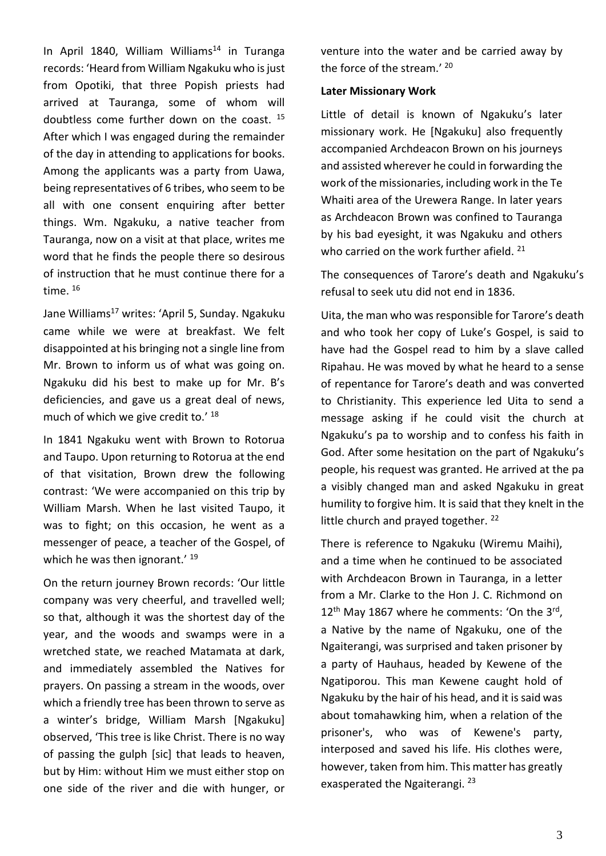In April 1840, William Williams<sup>14</sup> in Turanga records: 'Heard from William Ngakuku who is just from Opotiki, that three Popish priests had arrived at Tauranga, some of whom will doubtless come further down on the coast. <sup>15</sup> After which I was engaged during the remainder of the day in attending to applications for books. Among the applicants was a party from Uawa, being representatives of 6 tribes, who seem to be all with one consent enquiring after better things. Wm. Ngakuku, a native teacher from Tauranga, now on a visit at that place, writes me word that he finds the people there so desirous of instruction that he must continue there for a time.<sup>16</sup>

Jane Williams<sup>17</sup> writes: 'April 5, Sunday. Ngakuku came while we were at breakfast. We felt disappointed at his bringing not a single line from Mr. Brown to inform us of what was going on. Ngakuku did his best to make up for Mr. B's deficiencies, and gave us a great deal of news, much of which we give credit to.' 18

In 1841 Ngakuku went with Brown to Rotorua and Taupo. Upon returning to Rotorua at the end of that visitation, Brown drew the following contrast: 'We were accompanied on this trip by William Marsh. When he last visited Taupo, it was to fight; on this occasion, he went as a messenger of peace, a teacher of the Gospel, of which he was then ignorant.' <sup>19</sup>

On the return journey Brown records: 'Our little company was very cheerful, and travelled well; so that, although it was the shortest day of the year, and the woods and swamps were in a wretched state, we reached Matamata at dark, and immediately assembled the Natives for prayers. On passing a stream in the woods, over which a friendly tree has been thrown to serve as a winter's bridge, William Marsh [Ngakuku] observed, 'This tree is like Christ. There is no way of passing the gulph [sic] that leads to heaven, but by Him: without Him we must either stop on one side of the river and die with hunger, or venture into the water and be carried away by the force of the stream.'<sup>20</sup>

#### **Later Missionary Work**

Little of detail is known of Ngakuku's later missionary work. He [Ngakuku] also frequently accompanied Archdeacon Brown on his journeys and assisted wherever he could in forwarding the work of the missionaries, including work in the Te Whaiti area of the Urewera Range. In later years as Archdeacon Brown was confined to Tauranga by his bad eyesight, it was Ngakuku and others who carried on the work further afield. <sup>21</sup>

The consequences of Tarore's death and Ngakuku's refusal to seek utu did not end in 1836.

Uita, the man who was responsible for Tarore's death and who took her copy of Luke's Gospel, is said to have had the Gospel read to him by a slave called Ripahau. He was moved by what he heard to a sense of repentance for Tarore's death and was converted to Christianity. This experience led Uita to send a message asking if he could visit the church at Ngakuku's pa to worship and to confess his faith in God. After some hesitation on the part of Ngakuku's people, his request was granted. He arrived at the pa a visibly changed man and asked Ngakuku in great humility to forgive him. It is said that they knelt in the little church and prayed together. <sup>22</sup>

There is reference to Ngakuku (Wiremu Maihi), and a time when he continued to be associated with Archdeacon Brown in Tauranga, in a letter from a Mr. Clarke to the Hon J. C. Richmond on  $12<sup>th</sup>$  May 1867 where he comments: 'On the 3<sup>rd</sup>, a Native by the name of Ngakuku, one of the Ngaiterangi, was surprised and taken prisoner by a party of Hauhaus, headed by Kewene of the Ngatiporou. This man Kewene caught hold of Ngakuku by the hair of his head, and it is said was about tomahawking him, when a relation of the prisoner's, who was of Kewene's party, interposed and saved his life. His clothes were, however, taken from him. This matter has greatly exasperated the Ngaiterangi. 23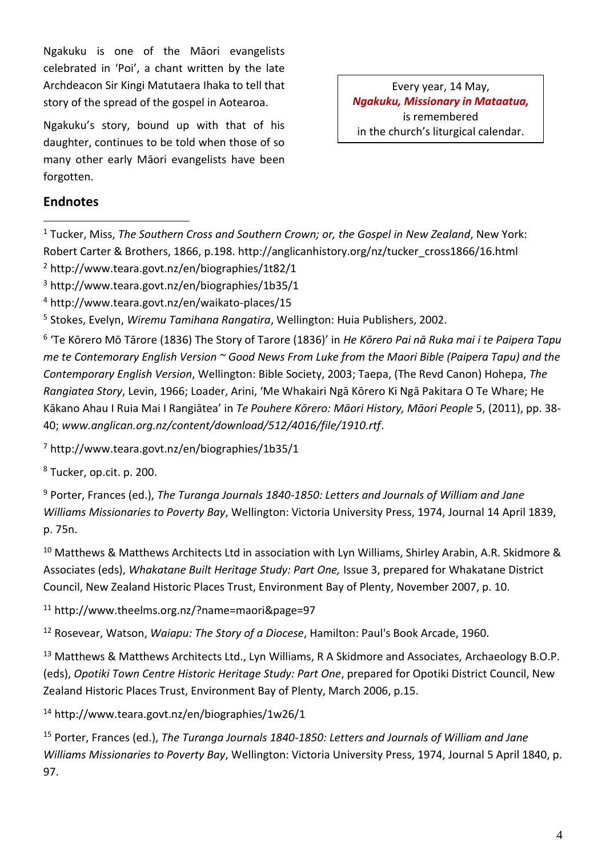Ngakuku is one of the Māori evangelists celebrated in 'Poi', a chant written by the late Archdeacon Sir Kingi Matutaera Ihaka to tell that story of the spread of the gospel in Aotearoa.

Ngakuku's story, bound up with that of his daughter, continues to be told when those of so many other early Māori evangelists have been forgotten.

Every year, 14 May, *Ngakuku, Missionary in Mataatua,*  is remembered in the church's liturgical calendar.

## **Endnotes**

<sup>1</sup> Tucker, Miss, *The Southern Cross and Southern Crown; or, the Gospel in New Zealand*, New York: Robert Carter & Brothers, 1866, p.198. http://anglicanhistory.org/nz/tucker\_cross1866/16.html

- <sup>2</sup> http://www.teara.govt.nz/en/biographies/1t82/1
- <sup>3</sup> <http://www.teara.govt.nz/en/biographies/1b35/1>
- <sup>4</sup> http://www.teara.govt.nz/en/waikato-places/15

<sup>5</sup> Stokes, Evelyn, *Wiremu Tamihana Rangatira*, Wellington: Huia Publishers, 2002.

6 'Te Kōrero Mō Tārore (1836) The Story of Tarore (1836)' in *He Kōrero Pai nā Ruka mai i te Paipera Tapu me te Contemorary English Version ~ Good News From Luke from the Maori Bible (Paipera Tapu) and the Contemporary English Version*, Wellington: Bible Society, 2003; Taepa, (The Revd Canon) Hohepa, *The Rangiatea Story*, Levin, 1966; Loader, Arini, 'Me Whakairi Ngā Kōrero Ki Ngā Pakitara O Te Whare; He Kākano Ahau I Ruia Mai I Rangiātea' in *Te Pouhere Kōrero: Māori History, Māori People* 5, (2011), pp. 38- 40; *www.anglican.org.nz/content/download/512/4016/file/1910.rtf*.

<sup>7</sup> http://www.teara.govt.nz/en/biographies/1b35/1

<sup>8</sup> Tucker, op.cit. p. 200.

<sup>9</sup> Porter, Frances (ed.), *The Turanga Journals 1840-1850: Letters and Journals of William and Jane Williams Missionaries to Poverty Bay*, Wellington: Victoria University Press, 1974, Journal 14 April 1839, p. 75n.

<sup>10</sup> Matthews & Matthews Architects Ltd in association with Lyn Williams, Shirley Arabin, A.R. Skidmore & Associates (eds), *Whakatane Built Heritage Study: Part One,* Issue 3, prepared for Whakatane District Council, New Zealand Historic Places Trust, Environment Bay of Plenty, November 2007, p. 10.

<sup>11</sup> http://www.theelms.org.nz/?name=maori&page=97

<sup>12</sup> Rosevear, Watson, *Waiapu: The Story of a Diocese*, Hamilton: Paul's Book Arcade, 1960.

<sup>13</sup> Matthews & Matthews Architects Ltd., Lyn Williams, R A Skidmore and Associates, Archaeology B.O.P. (eds), *Opotiki Town Centre Historic Heritage Study: Part One*, prepared for Opotiki District Council, New Zealand Historic Places Trust, Environment Bay of Plenty, March 2006, p.15.

<sup>14</sup> http://www.teara.govt.nz/en/biographies/1w26/1

<sup>15</sup> Porter, Frances (ed.), *The Turanga Journals 1840-1850: Letters and Journals of William and Jane Williams Missionaries to Poverty Bay*, Wellington: Victoria University Press, 1974, Journal 5 April 1840, p. 97.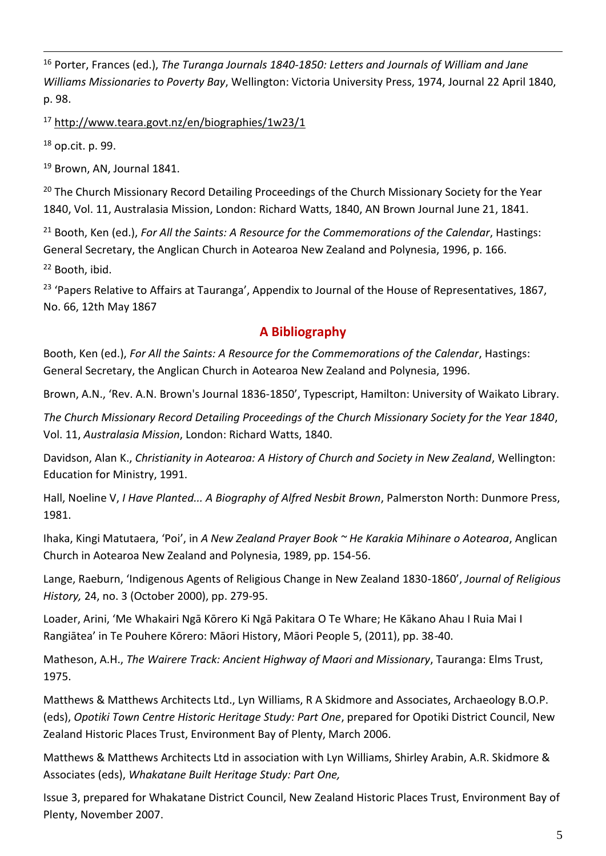<sup>16</sup> Porter, Frances (ed.), *The Turanga Journals 1840-1850: Letters and Journals of William and Jane Williams Missionaries to Poverty Bay*, Wellington: Victoria University Press, 1974, Journal 22 April 1840, p. 98.

<sup>17</sup> http://www.teara.govt.nz/en/biographies/1w23/1

<sup>18</sup> op.cit. p. 99.

<sup>19</sup> Brown, AN, Journal 1841.

<sup>20</sup> The Church Missionary Record Detailing Proceedings of the Church Missionary Society for the Year 1840, Vol. 11, Australasia Mission, London: Richard Watts, 1840, AN Brown Journal June 21, 1841.

<sup>21</sup> Booth, Ken (ed.), *For All the Saints: A Resource for the Commemorations of the Calendar*, Hastings: General Secretary, the Anglican Church in Aotearoa New Zealand and Polynesia, 1996, p. 166. <sup>22</sup> Booth, ibid.

<sup>23</sup> 'Papers Relative to Affairs at Tauranga', Appendix to Journal of the House of Representatives, 1867, No. 66, 12th May 1867

# **A Bibliography**

Booth, Ken (ed.), *For All the Saints: A Resource for the Commemorations of the Calendar*, Hastings: General Secretary, the Anglican Church in Aotearoa New Zealand and Polynesia, 1996.

Brown, A.N., 'Rev. A.N. Brown's Journal 1836-1850', Typescript, Hamilton: University of Waikato Library.

*The Church Missionary Record Detailing Proceedings of the Church Missionary Society for the Year 1840*, Vol. 11, *Australasia Mission*, London: Richard Watts, 1840.

Davidson, Alan K., *Christianity in Aotearoa: A History of Church and Society in New Zealand*, Wellington: Education for Ministry, 1991.

Hall, Noeline V, *I Have Planted... A Biography of Alfred Nesbit Brown*, Palmerston North: Dunmore Press, 1981.

Ihaka, Kingi Matutaera, 'Poi', in *A New Zealand Prayer Book ~ He Karakia Mihinare o Aotearoa*, Anglican Church in Aotearoa New Zealand and Polynesia, 1989, pp. 154-56.

Lange, Raeburn, 'Indigenous Agents of Religious Change in New Zealand 1830-1860', *Journal of Religious History,* 24, no. 3 (October 2000), pp. 279-95.

Loader, Arini, 'Me Whakairi Ngā Kōrero Ki Ngā Pakitara O Te Whare; He Kākano Ahau I Ruia Mai I Rangiātea' in Te Pouhere Kōrero: Māori History, Māori People 5, (2011), pp. 38-40.

Matheson, A.H., *The Wairere Track: Ancient Highway of Maori and Missionary*, Tauranga: Elms Trust, 1975.

Matthews & Matthews Architects Ltd., Lyn Williams, R A Skidmore and Associates, Archaeology B.O.P. (eds), *Opotiki Town Centre Historic Heritage Study: Part One*, prepared for Opotiki District Council, New Zealand Historic Places Trust, Environment Bay of Plenty, March 2006.

Matthews & Matthews Architects Ltd in association with Lyn Williams, Shirley Arabin, A.R. Skidmore & Associates (eds), *Whakatane Built Heritage Study: Part One,*

Issue 3, prepared for Whakatane District Council, New Zealand Historic Places Trust, Environment Bay of Plenty, November 2007.